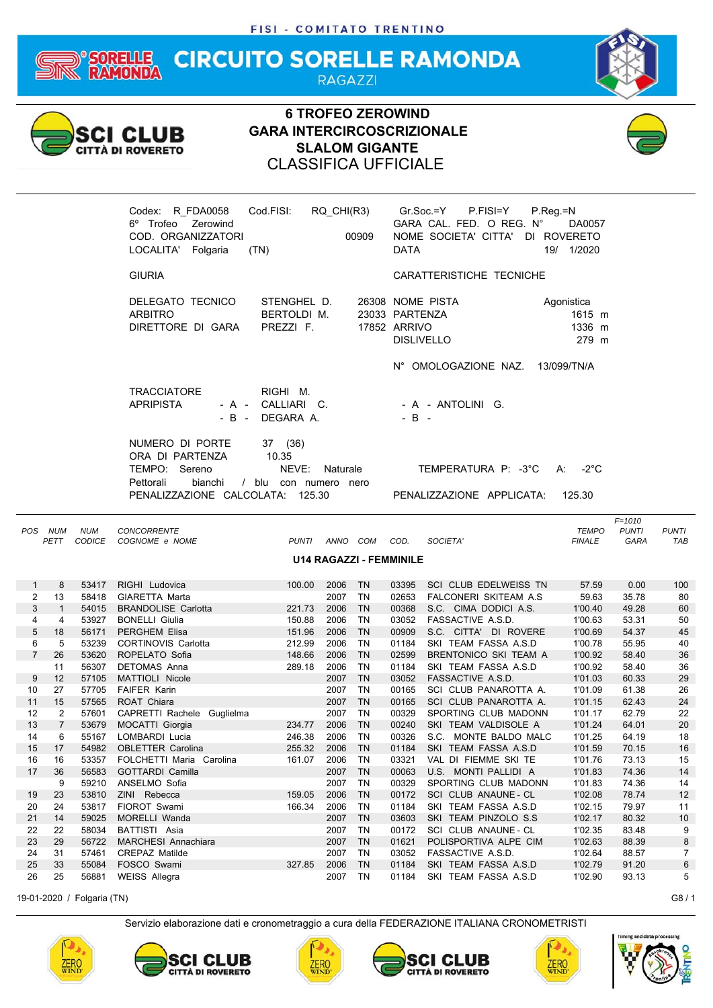#### **CIRCUITO SORELLE RAMONDA** ELLE **RAGAZZI**



### **6 TROFEO ZEROWIND GARA INTERCIRCOSCRIZIONALE SLALOM GIGANTE** CLASSIFICA UFFICIALE





| <b>POS</b>     | <b>NUM</b>     | <b>NUM</b>    | CONCORRENTE                |              |      |           |                                |                               | <b>TEMPO</b>  | <b>PUNTI</b> | <b>PUNTI</b>   |
|----------------|----------------|---------------|----------------------------|--------------|------|-----------|--------------------------------|-------------------------------|---------------|--------------|----------------|
|                | PETT           | <b>CODICE</b> | COGNOME e NOME             | <b>PUNTI</b> | ANNO | COM       | COD.                           | SOCIETA'                      | <b>FINALE</b> | <b>GARA</b>  | <b>TAB</b>     |
|                |                |               |                            |              |      |           | <b>U14 RAGAZZI - FEMMINILE</b> |                               |               |              |                |
|                |                |               |                            |              |      |           |                                |                               |               |              |                |
| 1              | 8              | 53417         | RIGHI Ludovica             | 100.00       | 2006 | <b>TN</b> | 03395                          | SCI CLUB EDELWEISS TN         | 57.59         | 0.00         | 100            |
| $\overline{2}$ | 13             | 58418         | <b>GIARETTA Marta</b>      |              | 2007 | <b>TN</b> | 02653                          | <b>FALCONERI SKITEAM A.S.</b> | 59.63         | 35.78        | 80             |
| 3              |                | 54015         | <b>BRANDOLISE Carlotta</b> | 221.73       | 2006 | <b>TN</b> | 00368                          | S.C. CIMA DODICI A.S.         | 1'00.40       | 49.28        | 60             |
| 4              | 4              | 53927         | <b>BONELLI Giulia</b>      | 150.88       | 2006 | <b>TN</b> | 03052                          | FASSACTIVE A.S.D.             | 1'00.63       | 53.31        | 50             |
| 5              | 18             | 56171         | <b>PERGHEM Elisa</b>       | 151.96       | 2006 | <b>TN</b> | 00909                          | S.C. CITTA' DI ROVERE         | 1'00.69       | 54.37        | 45             |
| 6              | 5              | 53239         | <b>CORTINOVIS Carlotta</b> | 212.99       | 2006 | <b>TN</b> | 01184                          | SKI TEAM FASSA A.S.D          | 1'00.78       | 55.95        | 40             |
| $\overline{7}$ | 26             | 53620         | ROPELATO Sofia             | 148.66       | 2006 | <b>TN</b> | 02599                          | BRENTONICO SKI TEAM A         | 1'00.92       | 58.40        | 36             |
|                | 11             | 56307         | <b>DETOMAS Anna</b>        | 289.18       | 2006 | <b>TN</b> | 01184                          | SKI TEAM FASSA A.S.D          | 1'00.92       | 58.40        | 36             |
| 9              | 12             | 57105         | <b>MATTIOLI Nicole</b>     |              | 2007 | <b>TN</b> | 03052                          | FASSACTIVE A.S.D.             | 1'01.03       | 60.33        | 29             |
| 10             | 27             | 57705         | <b>FAIFER Karin</b>        |              | 2007 | <b>TN</b> | 00165                          | SCI CLUB PANAROTTA A.         | 1'01.09       | 61.38        | 26             |
| 11             | 15             | 57565         | ROAT Chiara                |              | 2007 | <b>TN</b> | 00165                          | SCI CLUB PANAROTTA A.         | 1'01.15       | 62.43        | 24             |
| 12             | 2              | 57601         | CAPRETTI Rachele Guglielma |              | 2007 | <b>TN</b> | 00329                          | SPORTING CLUB MADONN          | 1'01.17       | 62.79        | 22             |
| 13             | $\overline{7}$ | 53679         | <b>MOCATTI Giorgia</b>     | 234.77       | 2006 | <b>TN</b> | 00240                          | SKI TEAM VALDISOLE A          | 1'01.24       | 64.01        | 20             |
| 14             | 6              | 55167         | LOMBARDI Lucia             | 246.38       | 2006 | <b>TN</b> | 00326                          | S.C. MONTE BALDO MALC         | 1'01.25       | 64.19        | 18             |
| 15             | 17             | 54982         | <b>OBLETTER Carolina</b>   | 255.32       | 2006 | <b>TN</b> | 01184                          | SKI TEAM FASSA A.S.D          | 1'01.59       | 70.15        | 16             |
| 16             | 16             | 53357         | FOLCHETTI Maria Carolina   | 161.07       | 2006 | <b>TN</b> | 03321                          | VAL DI FIEMME SKI TE          | 1'01.76       | 73.13        | 15             |
| 17             | 36             | 56583         | <b>GOTTARDI Camilla</b>    |              | 2007 | <b>TN</b> | 00063                          | U.S. MONTI PALLIDI A          | 1'01.83       | 74.36        | 14             |
|                | 9              | 59210         | ANSELMO Sofia              |              | 2007 | <b>TN</b> | 00329                          | SPORTING CLUB MADONN          | 1'01.83       | 74.36        | 14             |
| 19             | 23             | 53810         | ZINI Rebecca               | 159.05       | 2006 | <b>TN</b> | 00172                          | SCI CLUB ANAUNE - CL          | 1'02.08       | 78.74        | 12             |
| 20             | 24             | 53817         | FIOROT Swami               | 166.34       | 2006 | <b>TN</b> | 01184                          | SKI TEAM FASSA A.S.D.         | 1'02.15       | 79.97        | 11             |
| 21             | 14             | 59025         | MORELLI Wanda              |              | 2007 | <b>TN</b> | 03603                          | SKI TEAM PINZOLO S.S          | 1'02.17       | 80.32        | 10             |
| 22             | 22             | 58034         | BATTISTI Asia              |              | 2007 | <b>TN</b> | 00172                          | SCI CLUB ANAUNE - CL          | 1'02.35       | 83.48        | 9              |
| 23             | 29             | 56722         | <b>MARCHESI Annachiara</b> |              | 2007 | <b>TN</b> | 01621                          | POLISPORTIVA ALPE CIM         | 1'02.63       | 88.39        | 8              |
| 24             | 31             | 57461         | <b>CREPAZ Matilde</b>      |              | 2007 | <b>TN</b> | 03052                          | FASSACTIVE A.S.D.             | 1'02.64       | 88.57        | $\overline{7}$ |
| 25             | 33             | 55084         | FOSCO Swami                | 327.85       | 2006 | <b>TN</b> | 01184                          | SKI TEAM FASSA A.S.D          | 1'02.79       | 91.20        | 6              |
| 26             | 25             | 56881         | <b>WEISS Allegra</b>       |              | 2007 | <b>TN</b> | 01184                          | SKI TEAM FASSA A.S.D          | 1'02.90       | 93.13        | 5              |

19-01-2020 / Folgaria (TN) G8 / 1











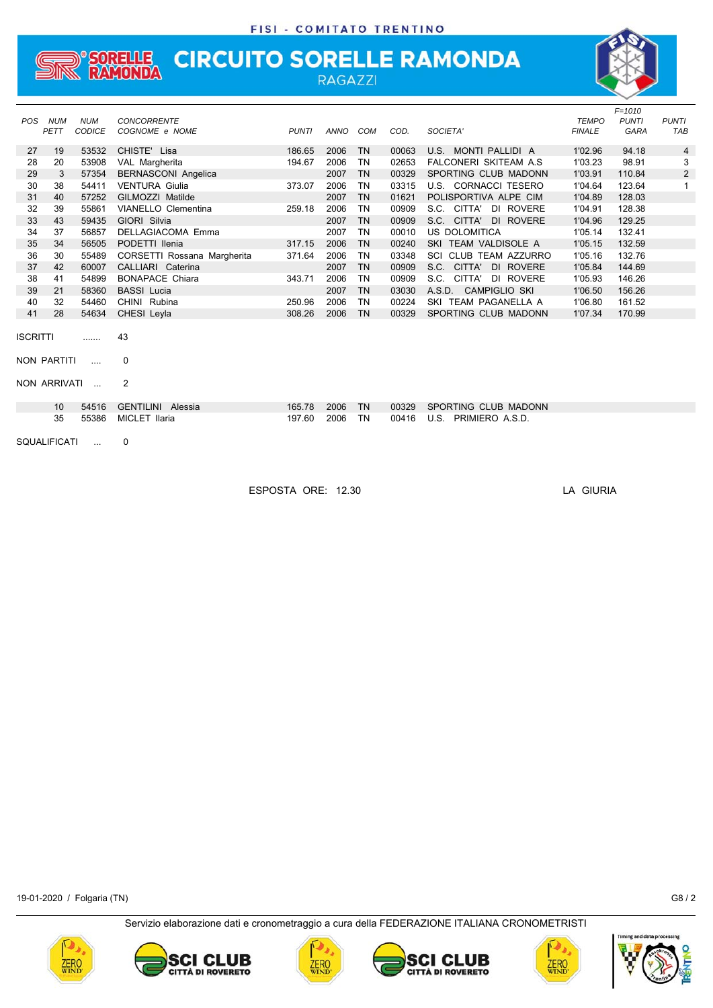## **STREAMONDA CIRCUITO SORELLE RAMONDA**

|            |              |               |                             |              |      |           |       |                               | <b>TEMPO</b>  | $F = 1010$   |                |
|------------|--------------|---------------|-----------------------------|--------------|------|-----------|-------|-------------------------------|---------------|--------------|----------------|
| <b>POS</b> | <b>NUM</b>   | <b>NUM</b>    | <b>CONCORRENTE</b>          |              |      |           |       |                               |               | <b>PUNTI</b> | <b>PUNTI</b>   |
|            | PETT         | <b>CODICE</b> | COGNOME e NOME              | <b>PUNTI</b> | ANNO | COM       | COD.  | SOCIETA'                      | <b>FINALE</b> | GARA         | TAB            |
| 27         | 19           | 53532         | CHISTE' Lisa                | 186.65       | 2006 | <b>TN</b> | 00063 | MONTI PALLIDI A<br>U.S.       | 1'02.96       | 94.18        | 4              |
| 28         | 20           | 53908         | VAL Margherita              | 194.67       | 2006 | <b>TN</b> | 02653 | <b>FALCONERI SKITEAM A.S.</b> | 1'03.23       | 98.91        | 3              |
| 29         | 3            | 57354         | <b>BERNASCONI Angelica</b>  |              | 2007 | <b>TN</b> | 00329 | SPORTING CLUB MADONN          | 1'03.91       | 110.84       | $\overline{c}$ |
| 30         | 38           | 54411         | <b>VENTURA Giulia</b>       | 373.07       | 2006 | <b>TN</b> | 03315 | U.S. CORNACCI TESERO          | 1'04.64       | 123.64       | 1              |
| 31         | 40           | 57252         | GILMOZZI Matilde            |              | 2007 | <b>TN</b> | 01621 | POLISPORTIVA ALPE CIM         | 1'04.89       | 128.03       |                |
| 32         | 39           | 55861         | <b>VIANELLO Clementina</b>  | 259.18       | 2006 | <b>TN</b> | 00909 | S.C.<br>CITTA'<br>DI ROVERE   | 1'04.91       | 128.38       |                |
| 33         | 43           | 59435         | GIORI Silvia                |              | 2007 | <b>TN</b> | 00909 | S.C.<br>CITTA' DI ROVERE      | 1'04.96       | 129.25       |                |
| 34         | 37           | 56857         | <b>DELLAGIACOMA Emma</b>    |              | 2007 | <b>TN</b> | 00010 | <b>US DOLOMITICA</b>          | 1'05.14       | 132.41       |                |
| 35         | 34           | 56505         | PODETTI Ilenia              | 317.15       | 2006 | <b>TN</b> | 00240 | SKI TEAM VALDISOLE A          | 1'05.15       | 132.59       |                |
| 36         | 30           | 55489         | CORSETTI Rossana Margherita | 371.64       | 2006 | <b>TN</b> | 03348 | SCI CLUB TEAM AZZURRO         | 1'05.16       | 132.76       |                |
| 37         | 42           | 60007         | CALLIARI Caterina           |              | 2007 | <b>TN</b> | 00909 | S.C.<br>CITTA' DI ROVERE      | 1'05.84       | 144.69       |                |
| 38         | 41           | 54899         | <b>BONAPACE Chiara</b>      | 343.71       | 2006 | <b>TN</b> | 00909 | S.C.<br>CITTA'<br>DI ROVERE   | 1'05.93       | 146.26       |                |
| 39         | 21           | 58360         | <b>BASSI</b> Lucia          |              | 2007 | <b>TN</b> | 03030 | A.S.D. CAMPIGLIO SKI          | 1'06.50       | 156.26       |                |
| 40         | 32           | 54460         | CHINI Rubina                | 250.96       | 2006 | <b>TN</b> | 00224 | SKI TEAM PAGANELLA A          | 1'06.80       | 161.52       |                |
| 41         | 28           | 54634         | CHESI Leyla                 | 308.26       | 2006 | <b>TN</b> | 00329 | SPORTING CLUB MADONN          | 1'07.34       | 170.99       |                |
|            |              |               |                             |              |      |           |       |                               |               |              |                |
| ISCRITTI   |              |               | 43                          |              |      |           |       |                               |               |              |                |
|            |              |               |                             |              |      |           |       |                               |               |              |                |
|            | NON PARTITI  |               | $\Omega$                    |              |      |           |       |                               |               |              |                |
|            |              |               |                             |              |      |           |       |                               |               |              |                |
|            | NON ARRIVATI |               | $\overline{2}$              |              |      |           |       |                               |               |              |                |
|            |              |               |                             |              |      |           |       |                               |               |              |                |
|            | 10           | 54516         | <b>GENTILINI</b><br>Alessia | 165.78       | 2006 | <b>TN</b> | 00329 | SPORTING CLUB MADONN          |               |              |                |
|            | 35           | 55386         | <b>MICLET Ilaria</b>        | 197.60       | 2006 | <b>TN</b> | 00416 | U.S.<br>PRIMIERO A.S.D.       |               |              |                |
|            |              |               |                             |              |      |           |       |                               |               |              |                |

SQUALIFICATI ... 0

ESPOSTA ORE: 12.30 LA GIURIA

19-01-2020 / Folgaria (TN) G8 / 2











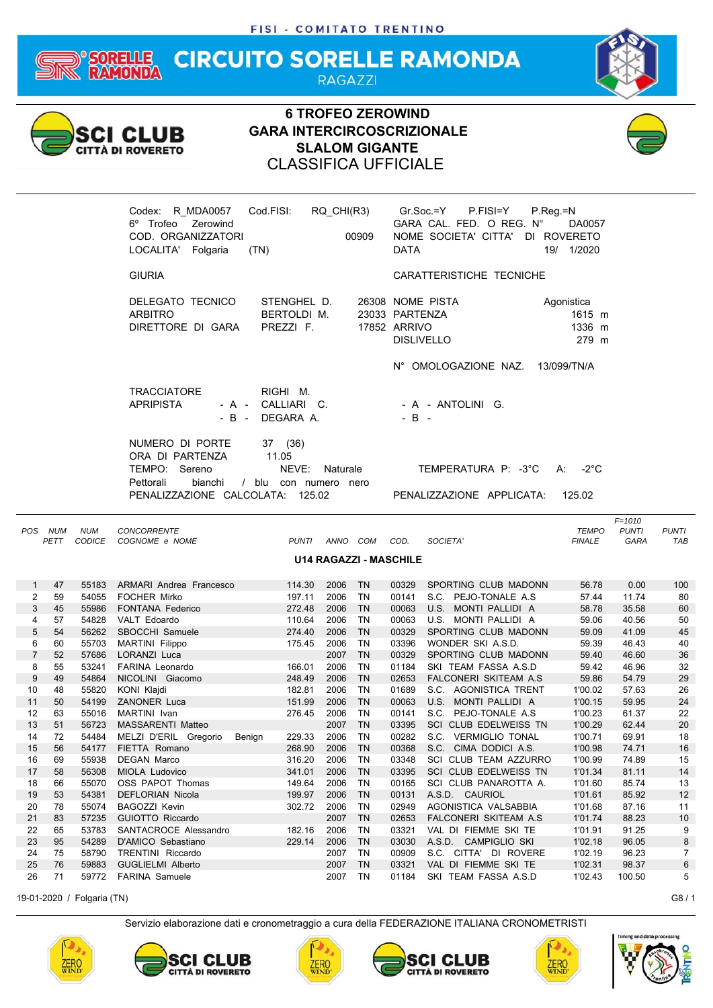#### **CIRCUITO SORELLE RAMONDA** FULE **RAGAZZI**



### **6 TROFEO ZEROWIND GARA INTERCIRCOSCRIZIONALE SLALOM GIGANTE** CLASSIFICA UFFICIALE





| <b>POS</b>     | <b>NUM</b> | <b>NUM</b>    | <b>CONCORRENTE</b>              |              |      |           |                               |                               | <b>TEMPO</b>  | <b>PUNTI</b> | <b>PUNTI</b>   |
|----------------|------------|---------------|---------------------------------|--------------|------|-----------|-------------------------------|-------------------------------|---------------|--------------|----------------|
|                | PETT       | <b>CODICE</b> | COGNOME e NOME                  | <b>PUNTI</b> | ANNO | COM       | COD.                          | SOCIETA'                      | <b>FINALE</b> | <b>GARA</b>  | <b>TAB</b>     |
|                |            |               |                                 |              |      |           | <b>U14 RAGAZZI - MASCHILE</b> |                               |               |              |                |
|                |            |               |                                 |              |      |           |                               |                               |               |              |                |
|                | 47         | 55183         | <b>ARMARI Andrea Francesco</b>  | 114.30       | 2006 | <b>TN</b> | 00329                         | SPORTING CLUB MADONN          | 56.78         | 0.00         | 100            |
| 2              | 59         | 54055         | <b>FOCHER Mirko</b>             | 197.11       | 2006 | <b>TN</b> | 00141                         | S.C. PEJO-TONALE A.S.         | 57.44         | 11.74        | 80             |
| 3              | 45         | 55986         | <b>FONTANA Federico</b>         | 272.48       | 2006 | <b>TN</b> | 00063                         | U.S. MONTI PALLIDI A          | 58.78         | 35.58        | 60             |
| 4              | 57         | 54828         | VALT Edoardo                    | 110.64       | 2006 | <b>TN</b> | 00063                         | U.S. MONTI PALLIDI A          | 59.06         | 40.56        | 50             |
| 5              | 54         | 56262         | SBOCCHI Samuele                 | 274.40       | 2006 | <b>TN</b> | 00329                         | SPORTING CLUB MADONN          | 59.09         | 41.09        | 45             |
| 6              | 60         | 55703         | <b>MARTINI</b> Filippo          | 175.45       | 2006 | <b>TN</b> | 03396                         | WONDER SKI A.S.D.             | 59.39         | 46.43        | 40             |
| $\overline{7}$ | 52         | 57686         | LORANZI Luca                    |              | 2007 | <b>TN</b> | 00329                         | SPORTING CLUB MADONN          | 59.40         | 46.60        | 36             |
| 8              | 55         | 53241         | FARINA Leonardo                 | 166.01       | 2006 | <b>TN</b> | 01184                         | SKI TEAM FASSA A.S.D          | 59.42         | 46.96        | 32             |
| 9              | 49         | 54864         | NICOLINI Giacomo                | 248.49       | 2006 | <b>TN</b> | 02653                         | <b>FALCONERI SKITEAM A.S</b>  | 59.86         | 54.79        | 29             |
| 10             | 48         | 55820         | KONI Klajdi                     | 182.81       | 2006 | <b>TN</b> | 01689                         | S.C. AGONISTICA TRENT         | 1'00.02       | 57.63        | 26             |
| 11             | 50         | 54199         | <b>ZANONER Luca</b>             | 151.99       | 2006 | <b>TN</b> | 00063                         | MONTI PALLIDI A<br>U.S.       | 1'00.15       | 59.95        | 24             |
| 12             | 63         | 55016         | MARTINI Ivan                    | 276.45       | 2006 | <b>TN</b> | 00141                         | S.C. PEJO-TONALE A.S.         | 1'00.23       | 61.37        | 22             |
| 13             | 51         | 56723         | <b>MASSARENTI Matteo</b>        |              | 2007 | <b>TN</b> | 03395                         | SCI CLUB EDELWEISS TN         | 1'00.29       | 62.44        | 20             |
| 14             | 72         | 54484         | MELZI D'ERIL Gregorio<br>Benign | 229.33       | 2006 | <b>TN</b> | 00282                         | S.C. VERMIGLIO TONAL          | 1'00.71       | 69.91        | 18             |
| 15             | 56         | 54177         | FIETTA Romano                   | 268.90       | 2006 | <b>TN</b> | 00368                         | S.C.<br>CIMA DODICI A.S.      | 1'00.98       | 74.71        | 16             |
| 16             | 69         | 55938         | <b>DEGAN Marco</b>              | 316.20       | 2006 | <b>TN</b> | 03348                         | SCI<br>CLUB TEAM AZZURRO      | 1'00.99       | 74.89        | 15             |
| 17             | 58         | 56308         | <b>MIOLA Ludovico</b>           | 341.01       | 2006 | <b>TN</b> | 03395                         | SCI CLUB EDELWEISS TN         | 1'01.34       | 81.11        | 14             |
| 18             | 66         | 55070         | OSS PAPOT Thomas                | 149.64       | 2006 | <b>TN</b> | 00165                         | SCI CLUB PANAROTTA A.         | 1'01.60       | 85.74        | 13             |
| 19             | 53         | 54381         | <b>DEFLORIAN Nicola</b>         | 199.97       | 2006 | <b>TN</b> | 00131                         | A.S.D. CAURIOL                | 1'01.61       | 85.92        | 12             |
| 20             | 78         | 55074         | <b>BAGOZZI Kevin</b>            | 302.72       | 2006 | <b>TN</b> | 02949                         | AGONISTICA VALSABBIA          | 1'01.68       | 87.16        | 11             |
| 21             | 83         | 57235         | GUIOTTO Riccardo                |              | 2007 | <b>TN</b> | 02653                         | <b>FALCONERI SKITEAM A.S.</b> | 1'01.74       | 88.23        | 10             |
| 22             | 65         | 53783         | SANTACROCE Alessandro           | 182.16       | 2006 | <b>TN</b> | 03321                         | VAL DI FIEMME SKI TE          | 1'01.91       | 91.25        | 9              |
| 23             | 95         | 54289         | D'AMICO Sebastiano              | 229.14       | 2006 | <b>TN</b> | 03030                         | A.S.D. CAMPIGLIO SKI          | 1'02.18       | 96.05        | 8              |
| 24             | 75         | 58790         | <b>TRENTINI Riccardo</b>        |              | 2007 | <b>TN</b> | 00909                         | S.C. CITTA' DI ROVERE         | 1'02.19       | 96.23        | $\overline{7}$ |
| 25             | 76         | 59883         | <b>GUGLIELMI Alberto</b>        |              | 2007 | <b>TN</b> | 03321                         | VAL DI FIEMME SKI TE          | 1'02.31       | 98.37        | 6              |
| 26             | 71         | 59772         | <b>FARINA Samuele</b>           |              | 2007 | <b>TN</b> | 01184                         | SKI TEAM FASSA A.S.D          | 1'02.43       | 100.50       | 5              |
|                |            |               |                                 |              |      |           |                               |                               |               |              |                |

19-01-2020 / Folgaria (TN) G8 / 1











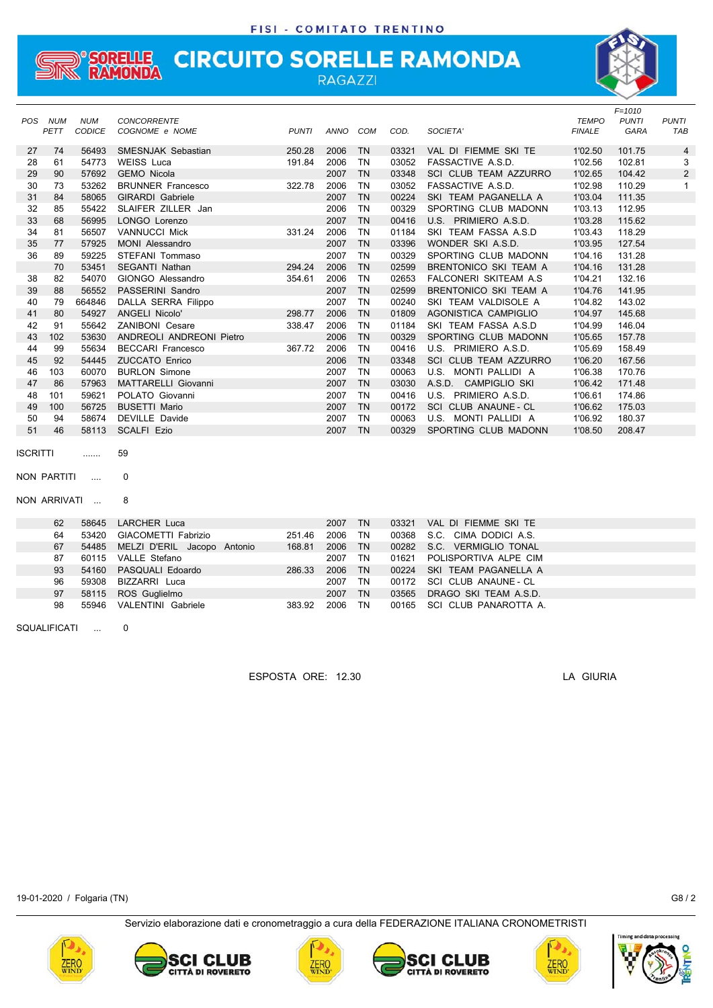## **SORELLE CIRCUITO SORELLE RAMONDA**<br>RAMONDA

| <b>POS</b> | <b>NUM</b>   | <b>NUM</b> | <b>CONCORRENTE</b>          |              |          |           |       |                              | <b>TEMPO</b>  | $F = 1010$<br><b>PUNTI</b> | <b>PUNTI</b> |
|------------|--------------|------------|-----------------------------|--------------|----------|-----------|-------|------------------------------|---------------|----------------------------|--------------|
|            | PETT         | CODICE     | COGNOME e NOME              | <b>PUNTI</b> | ANNO COM |           | COD.  | SOCIETA'                     | <b>FINALE</b> | GARA                       | TAB          |
| 27         | 74           | 56493      | SMESNJAK Sebastian          | 250.28       | 2006     | <b>TN</b> | 03321 | VAL DI FIEMME SKI TE         | 1'02.50       | 101.75                     | 4            |
| 28         | 61           | 54773      | <b>WEISS Luca</b>           | 191.84       | 2006     | <b>TN</b> | 03052 | FASSACTIVE A.S.D.            | 1'02.56       | 102.81                     | 3            |
| 29         | 90           | 57692      | <b>GEMO Nicola</b>          |              | 2007     | <b>TN</b> | 03348 | SCI CLUB TEAM AZZURRO        | 1'02.65       | 104.42                     | 2            |
| 30         | 73           | 53262      | <b>BRUNNER Francesco</b>    | 322.78       | 2006     | <b>TN</b> | 03052 | FASSACTIVE A.S.D.            | 1'02.98       | 110.29                     | 1            |
| 31         | 84           | 58065      | <b>GIRARDI</b> Gabriele     |              | 2007     | <b>TN</b> | 00224 | SKI TEAM PAGANELLA A         | 1'03.04       | 111.35                     |              |
| 32         | 85           | 55422      | SLAIFER ZILLER Jan          |              | 2006     | <b>TN</b> | 00329 | SPORTING CLUB MADONN         | 1'03.13       | 112.95                     |              |
| 33         | 68           | 56995      | LONGO Lorenzo               |              | 2007     | <b>TN</b> | 00416 | U.S. PRIMIERO A.S.D.         | 1'03.28       | 115.62                     |              |
| 34         | 81           | 56507      | <b>VANNUCCI Mick</b>        | 331.24       | 2006     | <b>TN</b> | 01184 | SKI TEAM FASSA A.S.D         | 1'03.43       | 118.29                     |              |
| 35         | 77           | 57925      | <b>MONI Alessandro</b>      |              | 2007     | <b>TN</b> | 03396 | WONDER SKI A.S.D.            | 1'03.95       | 127.54                     |              |
| 36         | 89           | 59225      | STEFANI Tommaso             |              | 2007     | <b>TN</b> | 00329 | SPORTING CLUB MADONN         | 1'04.16       | 131.28                     |              |
|            | 70           | 53451      | <b>SEGANTI Nathan</b>       | 294.24       | 2006     | <b>TN</b> | 02599 | BRENTONICO SKI TEAM A        | 1'04.16       | 131.28                     |              |
| 38         | 82           | 54070      | GIONGO Alessandro           | 354.61       | 2006     | <b>TN</b> | 02653 | FALCONERI SKITEAM A.S        | 1'04.21       | 132.16                     |              |
| 39         | 88           | 56552      | PASSERINI Sandro            |              | 2007     | <b>TN</b> | 02599 | <b>BRENTONICO SKI TEAM A</b> | 1'04.76       | 141.95                     |              |
| 40         | 79           | 664846     | DALLA SERRA Filippo         |              | 2007     | <b>TN</b> | 00240 | SKI TEAM VALDISOLE A         | 1'04.82       | 143.02                     |              |
| 41         | 80           | 54927      | ANGELI Nicolo'              | 298.77       | 2006     | <b>TN</b> | 01809 | AGONISTICA CAMPIGLIO         | 1'04.97       | 145.68                     |              |
| 42         | 91           | 55642      | ZANIBONI Cesare             | 338.47       | 2006     | <b>TN</b> | 01184 | SKI TEAM FASSA A.S.D         | 1'04.99       | 146.04                     |              |
| 43         | 102          | 53630      | ANDREOLI ANDREONI Pietro    |              | 2006     | <b>TN</b> | 00329 | SPORTING CLUB MADONN         | 1'05.65       | 157.78                     |              |
| 44         | 99           | 55634      | <b>BECCARI Francesco</b>    | 367.72       | 2006     | <b>TN</b> | 00416 | U.S. PRIMIERO A.S.D.         | 1'05.69       | 158.49                     |              |
| 45         | 92           | 54445      | <b>ZUCCATO Enrico</b>       |              | 2006     | <b>TN</b> | 03348 | SCI CLUB TEAM AZZURRO        | 1'06.20       | 167.56                     |              |
| 46         | 103          | 60070      | <b>BURLON Simone</b>        |              | 2007     | <b>TN</b> | 00063 | U.S. MONTI PALLIDI A         | 1'06.38       | 170.76                     |              |
| 47         | 86           | 57963      | <b>MATTARELLI Giovanni</b>  |              | 2007     | <b>TN</b> | 03030 | A.S.D. CAMPIGLIO SKI         | 1'06.42       | 171.48                     |              |
| 48         | 101          | 59621      | POLATO Giovanni             |              | 2007     | <b>TN</b> | 00416 | U.S. PRIMIERO A.S.D.         | 1'06.61       | 174.86                     |              |
| 49         | 100          | 56725      | <b>BUSETTI Mario</b>        |              | 2007     | <b>TN</b> | 00172 | SCI CLUB ANAUNE - CL         | 1'06.62       | 175.03                     |              |
| 50         | 94           | 58674      | DEVILLE Davide              |              | 2007     | <b>TN</b> | 00063 | U.S. MONTI PALLIDI A         | 1'06.92       | 180.37                     |              |
| 51         | 46           | 58113      | <b>SCALFI Ezio</b>          |              | 2007     | <b>TN</b> | 00329 | SPORTING CLUB MADONN         | 1'08.50       | 208.47                     |              |
| ISCRITTI   |              | .          | 59                          |              |          |           |       |                              |               |                            |              |
|            | NON PARTITI  |            | $\mathbf 0$                 |              |          |           |       |                              |               |                            |              |
|            | NON ARRIVATI | $\cdots$   | 8                           |              |          |           |       |                              |               |                            |              |
|            | 62           | 58645      | <b>LARCHER Luca</b>         |              | 2007     | <b>TN</b> | 03321 | VAL DI FIEMME SKI TE         |               |                            |              |
|            | 64           | 53420      | GIACOMETTI Fabrizio         | 251.46       | 2006     | <b>TN</b> | 00368 | S.C. CIMA DODICI A.S.        |               |                            |              |
|            | 67           | 54485      | MELZI D'ERIL Jacopo Antonio | 168.81       | 2006     | <b>TN</b> | 00282 | S.C. VERMIGLIO TONAL         |               |                            |              |
|            | 87           | 60115      | VALLE Stefano               |              | 2007     | TN        | 01621 | POLISPORTIVA ALPE CIM        |               |                            |              |
|            | 93           | 54160      | PASQUALI Edoardo            | 286.33       | 2006     | <b>TN</b> | 00224 | SKI TEAM PAGANELLA A         |               |                            |              |
|            | 96           | 59308      | BIZZARRI Luca               |              | 2007     | <b>TN</b> | 00172 | SCI CLUB ANAUNE - CL         |               |                            |              |
|            |              |            |                             |              |          |           |       |                              |               |                            |              |

97 58115 ROS Guglielmo 2007 TN 03565 DRAGO SKI TEAM A.S.D. 98 55946 VALENTINI Gabriele 383.92 2006 TN 00165 SCI CLUB PANAROTTA A.

SQUALIFICATI ... 0

ESPOSTA ORE: 12.30 LA GIURIA

19-01-2020 / Folgaria (TN) G8 / 2











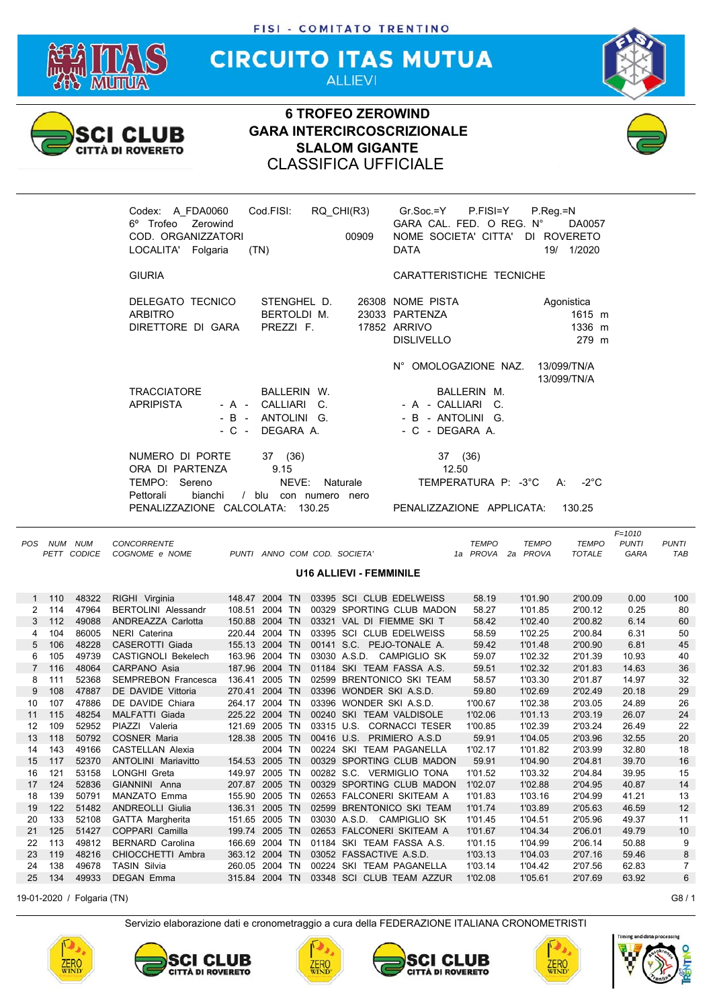

**CIRCUITO ITAS MUTUA ALLIEVI** 



## **6 TROFEO ZEROWIND GARA INTERCIRCOSCRIZIONALE SLALOM GIGANTE** CLASSIFICA UFFICIALE



| A FDA0060<br>Codex:<br>6° Trofeo Zerowind | Cod.FISI:         | RQ CHI(R3) |       | $Gr.Soc = Y$<br>P.FISI=Y<br>GARA CAL. FED. O REG. N° | $P_{R}$ eq. = N<br>DA0057  |  |
|-------------------------------------------|-------------------|------------|-------|------------------------------------------------------|----------------------------|--|
| COD. ORGANIZZATORI                        |                   |            | 00909 | NOME SOCIETA' CITTA'                                 | DI ROVERETO                |  |
| LOCALITA' Folgaria                        | (TN)              |            |       | <b>DATA</b>                                          | 19/ 1/2020                 |  |
|                                           |                   |            |       |                                                      |                            |  |
| <b>GIURIA</b>                             |                   |            |       | CARATTERISTICHE TECNICHE                             |                            |  |
| DELEGATO TECNICO                          | STENGHEL D.       |            |       | 26308 NOME PISTA                                     |                            |  |
|                                           |                   |            |       |                                                      | Agonistica                 |  |
| <b>ARBITRO</b>                            | BERTOLDI M.       |            |       | 23033 PARTENZA                                       | 1615 m                     |  |
| DIRETTORE DI GARA                         | PREZZI F.         |            |       | <b>17852 ARRIVO</b>                                  | 1336 m                     |  |
|                                           |                   |            |       | <b>DISLIVELLO</b>                                    | 279 m                      |  |
|                                           |                   |            |       | N° OMOLOGAZIONE NAZ.                                 | 13/099/TN/A<br>13/099/TN/A |  |
| <b>TRACCIATORE</b>                        | BALLERIN W.       |            |       | BALLERIN M.                                          |                            |  |
| <b>APRIPISTA</b>                          | - A - CALLIARI    | C.         |       | - A - CALLIARI C.                                    |                            |  |
|                                           | - B - ANTOLINI G. |            |       | - B - ANTOLINI G.                                    |                            |  |
| $-C -$                                    | DEGARA A.         |            |       | - C - DEGARA A.                                      |                            |  |
| NUMERO DI PORTE                           | 37 (36)           |            |       | 37 (36)                                              |                            |  |
| ORA DI PARTENZA                           | 9.15              |            |       | 12.50                                                |                            |  |
| TEMPO:<br>Sereno                          | NEVE:             | Naturale   |       | TEMPERATURA P: -3°C                                  | $-2^{\circ}$ C<br>A:       |  |
| Pettorali<br>bianchi                      | blu               | con numero | nero  |                                                      |                            |  |
| PENALIZZAZIONE CALCOLATA:                 |                   | 130.25     |       | PENALIZZAZIONE APPLICATA:                            | 130.25                     |  |
|                                           |                   |            |       |                                                      |                            |  |

|                |         |                            |                            |                |         |            |                                |              |              |               | $F = 1010$   |              |
|----------------|---------|----------------------------|----------------------------|----------------|---------|------------|--------------------------------|--------------|--------------|---------------|--------------|--------------|
| <b>POS</b>     | NUM NUM |                            | <b>CONCORRENTE</b>         |                |         |            |                                | <b>TEMPO</b> | <b>TEMPO</b> | <b>TEMPO</b>  | <b>PUNTI</b> | <b>PUNTI</b> |
|                |         | PETT CODICE                | COGNOME e NOME             |                |         |            | PUNTI ANNO COM COD. SOCIETA'   | 1a PROVA     | 2a PROVA     | <b>TOTALE</b> | GARA         | TAB          |
|                |         |                            |                            |                |         |            | <b>U16 ALLIEVI - FEMMINILE</b> |              |              |               |              |              |
|                |         |                            |                            |                |         |            |                                |              |              |               |              |              |
| 1              | 110     | 48322                      | RIGHI Virginia             | 148.47 2004 TN |         |            | 03395 SCI CLUB EDELWEISS       | 58.19        | 1'01.90      | 2'00.09       | 0.00         | 100          |
| 2              | 114     | 47964                      | <b>BERTOLINI Alessandr</b> | 108.51         | 2004 TN |            | 00329 SPORTING CLUB MADON      | 58.27        | 1'01.85      | 2'00.12       | 0.25         | 80           |
| 3              | 112     | 49088                      | ANDREAZZA Carlotta         | 150.88 2004 TN |         |            | 03321 VAL DI FIEMME SKI T      | 58.42        | 1'02.40      | 2'00.82       | 6.14         | 60           |
| 4              | 104     | 86005                      | <b>NERI</b> Caterina       | 220.44 2004 TN |         |            | 03395 SCI CLUB EDELWEISS       | 58.59        | 1'02.25      | 2'00.84       | 6.31         | 50           |
| 5              | 106     | 48228                      | CASEROTTI Giada            | 155.13 2004 TN |         |            | 00141 S.C. PEJO-TONALE A.      | 59.42        | 1'01.48      | 2'00.90       | 6.81         | 45           |
| 6              | 105     | 49739                      | <b>CASTIGNOLI Bekelech</b> | 163.96 2004 TN |         |            | 03030 A.S.D. CAMPIGLIO SK      | 59.07        | 1'02.32      | 2'01.39       | 10.93        | 40           |
| $\overline{7}$ | 116     | 48064                      | CARPANO Asia               | 187.96 2004 TN |         |            | 01184 SKI TEAM FASSA A.S.      | 59.51        | 1'02.32      | 2'01.83       | 14.63        | 36           |
| 8              | 111     | 52368                      | <b>SEMPREBON Francesca</b> | 136.41         | 2005 TN |            | 02599 BRENTONICO SKI TEAM      | 58.57        | 1'03.30      | 2'01.87       | 14.97        | 32           |
| 9              | 108     | 47887                      | DE DAVIDE Vittoria         | 270.41 2004 TN |         |            | 03396 WONDER SKI A.S.D.        | 59.80        | 1'02.69      | 2'02.49       | 20.18        | 29           |
| 10             | 107     | 47886                      | DE DAVIDE Chiara           | 264.17 2004 TN |         |            | 03396 WONDER SKI A.S.D.        | 1'00.67      | 1'02.38      | 2'03.05       | 24.89        | 26           |
| 11             | 115     | 48254                      | <b>MALFATTI Giada</b>      | 225.22 2004 TN |         |            | 00240 SKI TEAM VALDISOLE       | 1'02.06      | 1'01.13      | 2'03.19       | 26.07        | 24           |
| 12             | 109     | 52952                      | PIAZZI Valeria             | 121.69 2005 TN |         | 03315 U.S. | <b>CORNACCI TESER</b>          | 1'00.85      | 1'02.39      | 2'03.24       | 26.49        | 22           |
| 13             | 118     | 50792                      | <b>COSNER Maria</b>        | 128.38 2005 TN |         |            | 00416 U.S. PRIMIERO A.S.D      | 59.91        | 1'04.05      | 2'03.96       | 32.55        | 20           |
| 14             | 143     | 49166                      | <b>CASTELLAN Alexia</b>    |                | 2004 TN |            | 00224 SKI TEAM PAGANELLA       | 1'02.17      | 1'01.82      | 2'03.99       | 32.80        | 18           |
| 15             | 117     | 52370                      | <b>ANTOLINI Mariavitto</b> | 154.53 2005 TN |         |            | 00329 SPORTING CLUB MADON      | 59.91        | 1'04.90      | 2'04.81       | 39.70        | 16           |
| 16             | 121     | 53158                      | LONGHI Greta               | 149.97 2005 TN |         |            | 00282 S.C. VERMIGLIO TONA      | 1'01.52      | 1'03.32      | 2'04.84       | 39.95        | 15           |
| 17             | 124     | 52836                      | GIANNINI Anna              | 207.87 2005 TN |         |            | 00329 SPORTING CLUB MADON      | 1'02.07      | 1'02.88      | 2'04.95       | 40.87        | 14           |
| 18             | 139     | 50791                      | <b>MANZATO Emma</b>        | 155.90 2005 TN |         |            | 02653 FALCONERI SKITEAM A      | 1'01.83      | 1'03.16      | 2'04.99       | 41.21        | 13           |
| 19             | 122     | 51482                      | <b>ANDREOLLI Giulia</b>    | 136.31 2005 TN |         |            | 02599 BRENTONICO SKI TEAM      | 1'01.74      | 1'03.89      | 2'05.63       | 46.59        | 12           |
| 20             | 133     | 52108                      | <b>GATTA Margherita</b>    | 151.65 2005 TN |         |            | 03030 A.S.D. CAMPIGLIO SK      | 1'01.45      | 1'04.51      | 2'05.96       | 49.37        | 11           |
| 21             | 125     | 51427                      | COPPARI Camilla            | 199.74 2005 TN |         |            | 02653 FALCONERI SKITEAM A      | 1'01.67      | 1'04.34      | 2'06.01       | 49.79        | 10           |
| 22             | 113     | 49812                      | <b>BERNARD Carolina</b>    | 166.69 2004 TN |         |            | 01184 SKI TEAM FASSA A.S.      | 1'01.15      | 1'04.99      | 2'06.14       | 50.88        | 9            |
| 23             | 119     | 48216                      | CHIOCCHETTI Ambra          | 363.12 2004 TN |         |            | 03052 FASSACTIVE A.S.D.        | 1'03.13      | 1'04.03      | 2'07.16       | 59.46        | 8            |
| 24             | 138     | 49678                      | <b>TASIN Silvia</b>        | 260.05 2004 TN |         |            | 00224 SKI TEAM PAGANELLA       | 1'03.14      | 1'04.42      | 2'07.56       | 62.83        | 7            |
| 25             | 134     | 49933                      | <b>DEGAN Emma</b>          | 315.84 2004 TN |         |            | 03348 SCI CLUB TEAM AZZUR      | 1'02.08      | 1'05.61      | 2'07.69       | 63.92        | 6            |
|                |         | 19-01-2020 / Folgaria (TN) |                            |                |         |            |                                |              |              |               |              | G8/1         |
|                |         |                            |                            |                |         |            |                                |              |              |               |              |              |











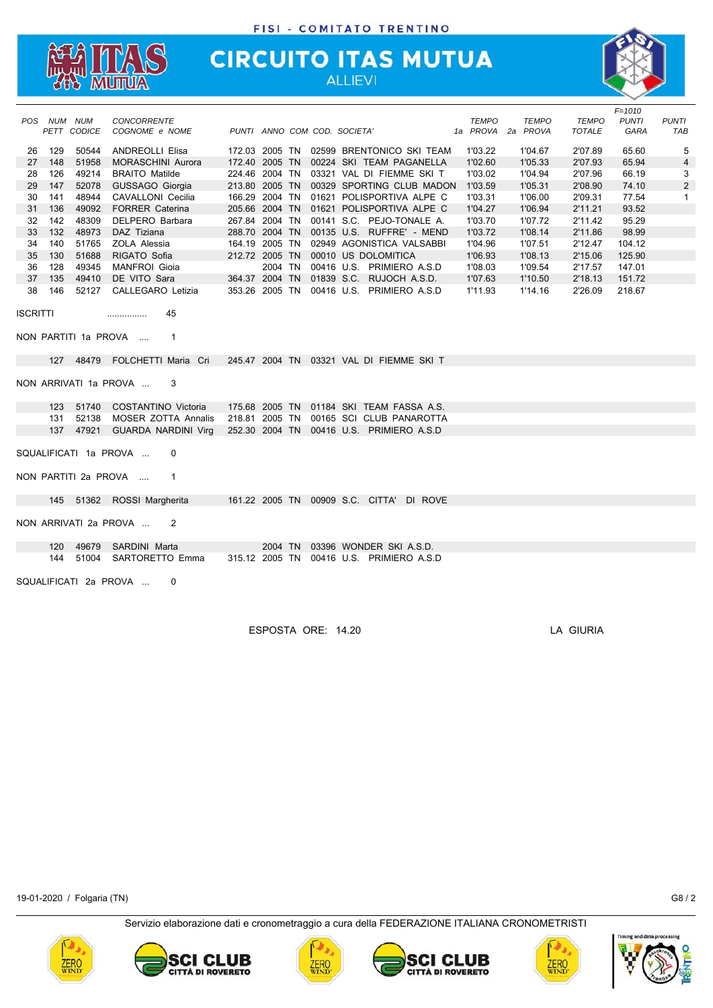

# **CIRCUITO ITAS MUTUA**



|                 |             |             |                                      |                |  |                                          |              |              |               | $F = 1010$   |                |
|-----------------|-------------|-------------|--------------------------------------|----------------|--|------------------------------------------|--------------|--------------|---------------|--------------|----------------|
|                 | POS NUM NUM |             | <b>CONCORRENTE</b>                   |                |  |                                          | <b>TEMPO</b> | <b>TEMPO</b> | <b>TEMPO</b>  | <b>PUNTI</b> | <b>PUNTI</b>   |
|                 |             | PETT CODICE | COGNOME e NOME                       |                |  | PUNTI ANNO COM COD. SOCIETA'             | 1a PROVA     | 2a PROVA     | <b>TOTALE</b> | GARA         | TAB            |
| 26              | 129         | 50544       | <b>ANDREOLLI Elisa</b>               |                |  | 172.03 2005 TN 02599 BRENTONICO SKI TEAM | 1'03.22      | 1'04.67      | 2'07.89       | 65.60        | 5              |
| 27              | 148         | 51958       | <b>MORASCHINI Aurora</b>             | 172.40 2005 TN |  | 00224 SKI TEAM PAGANELLA                 | 1'02.60      | 1'05.33      | 2'07.93       | 65.94        | $\overline{4}$ |
| 28              | 126         | 49214       | <b>BRAITO Matilde</b>                |                |  | 224.46 2004 TN 03321 VAL DI FIEMME SKI T | 1'03.02      | 1'04.94      | 2'07.96       | 66.19        | 3              |
| 29              | 147         | 52078       | GUSSAGO Giorgia                      | 213.80 2005 TN |  | 00329 SPORTING CLUB MADON                | 1'03.59      | 1'05.31      | 2'08.90       | 74.10        | $\overline{2}$ |
| 30              | 141         | 48944       | CAVALLONI Cecilia                    | 166.29 2004 TN |  | 01621 POLISPORTIVA ALPE C                | 1'03.31      | 1'06.00      | 2'09.31       | 77.54        | 1              |
| 31              | 136         | 49092       | <b>FORRER Caterina</b>               | 205.66 2004 TN |  | 01621 POLISPORTIVA ALPE C                | 1'04.27      | 1'06.94      | 2'11.21       | 93.52        |                |
| 32              | 142         | 48309       | DELPERO Barbara                      |                |  | 267.84 2004 TN 00141 S.C. PEJO-TONALE A. | 1'03.70      | 1'07.72      | 2'11.42       | 95.29        |                |
| 33              | 132         | 48973       | DAZ Tiziana                          |                |  | 288.70 2004 TN 00135 U.S. RUFFRE' - MEND | 1'03.72      | 1'08.14      | 2'11.86       | 98.99        |                |
| 34              | 140         | 51765       | ZOLA Alessia                         |                |  | 164.19 2005 TN 02949 AGONISTICA VALSABBI | 1'04.96      | 1'07.51      | 2'12.47       | 104.12       |                |
| 35              | 130         | 51688       | RIGATO Sofia                         | 212.72 2005 TN |  | 00010 US DOLOMITICA                      | 1'06.93      | 1'08.13      | 2'15.06       | 125.90       |                |
| 36              | 128         | 49345       | <b>MANFROI</b> Gioia                 |                |  | 2004 TN 00416 U.S. PRIMIERO A.S.D        | 1'08.03      | 1'09.54      | 2'17.57       | 147.01       |                |
| 37              | 135         | 49410       | DE VITO Sara                         |                |  | 364.37 2004 TN 01839 S.C. RUJOCH A.S.D.  | 1'07.63      | 1'10.50      | 2'18.13       | 151.72       |                |
| 38              | 146         | 52127       | CALLEGARO Letizia                    |                |  | 353.26 2005 TN 00416 U.S. PRIMIERO A.S.D | 1'11.93      | 1'14.16      | 2'26.09       | 218.67       |                |
| <b>ISCRITTI</b> |             |             | 45<br>.                              |                |  |                                          |              |              |               |              |                |
|                 |             |             |                                      |                |  |                                          |              |              |               |              |                |
|                 |             |             | NON PARTITI 1a PROVA<br>$\mathbf{1}$ |                |  |                                          |              |              |               |              |                |
|                 |             |             |                                      |                |  |                                          |              |              |               |              |                |
|                 |             |             | 127 48479 FOLCHETTI Maria Cri        |                |  | 245.47 2004 TN 03321 VAL DI FIEMME SKI T |              |              |               |              |                |
|                 |             |             |                                      |                |  |                                          |              |              |               |              |                |
|                 |             |             | NON ARRIVATI 1a PROVA<br>3           |                |  |                                          |              |              |               |              |                |
|                 |             |             |                                      |                |  |                                          |              |              |               |              |                |
|                 | 123         | 51740       | COSTANTINO Victoria                  |                |  | 175.68 2005 TN 01184 SKI TEAM FASSA A.S. |              |              |               |              |                |
|                 | 131         | 52138       | <b>MOSER ZOTTA Annalis</b>           |                |  | 218.81 2005 TN 00165 SCI CLUB PANAROTTA  |              |              |               |              |                |
|                 | 137         | 47921       | <b>GUARDA NARDINI Virg</b>           |                |  | 252.30 2004 TN 00416 U.S. PRIMIERO A.S.D |              |              |               |              |                |
|                 |             |             |                                      |                |  |                                          |              |              |               |              |                |
|                 |             |             | SQUALIFICATI 1a PROVA<br>0           |                |  |                                          |              |              |               |              |                |
|                 |             |             | NON PARTITI 2a PROVA<br>1            |                |  |                                          |              |              |               |              |                |
|                 |             |             |                                      |                |  |                                          |              |              |               |              |                |
|                 |             |             | 145 51362 ROSSI Margherita           |                |  | 161.22 2005 TN 00909 S.C. CITTA' DI ROVE |              |              |               |              |                |
|                 |             |             |                                      |                |  |                                          |              |              |               |              |                |
|                 |             |             | NON ARRIVATI 2a PROVA<br>2           |                |  |                                          |              |              |               |              |                |
|                 | 120         | 49679       | SARDINI Marta                        |                |  | 2004 TN 03396 WONDER SKI A.S.D.          |              |              |               |              |                |
|                 | 144         | 51004       | SARTORETTO Emma                      |                |  | 315.12 2005 TN 00416 U.S. PRIMIERO A.S.D |              |              |               |              |                |
|                 |             |             |                                      |                |  |                                          |              |              |               |              |                |
|                 |             |             | SQUALIFICATI 2a PROVA<br>0           |                |  |                                          |              |              |               |              |                |
|                 |             |             |                                      |                |  |                                          |              |              |               |              |                |
|                 |             |             |                                      |                |  |                                          |              |              |               |              |                |

ESPOSTA ORE: 14.20 LA GIURIA

19-01-2020 / Folgaria (TN) G8 / 2











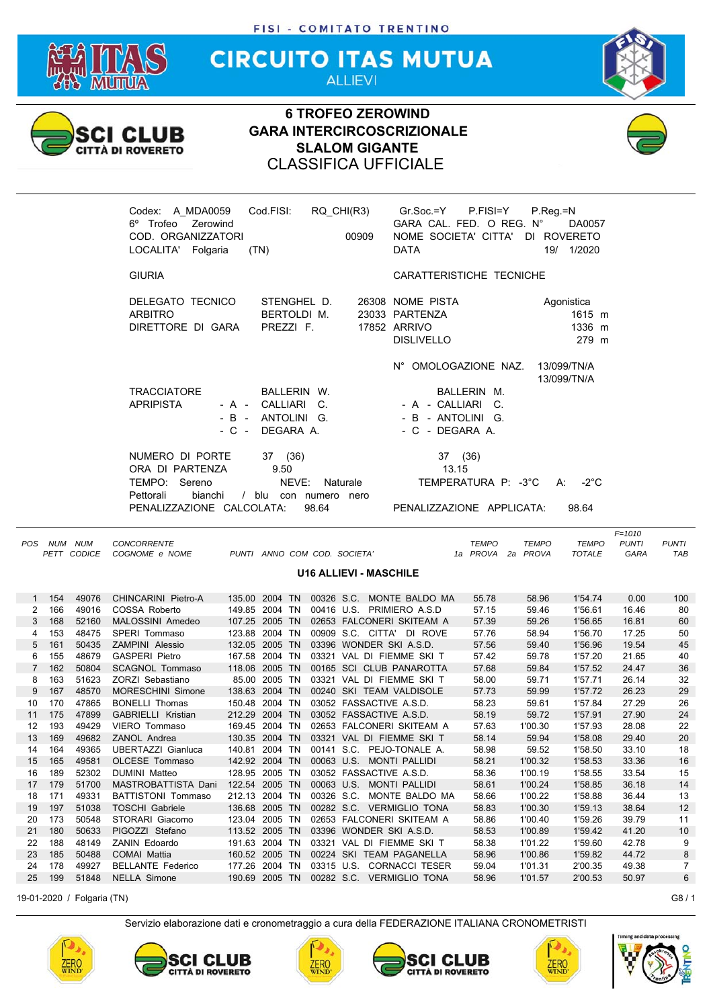

**CIRCUITO ITAS MUTUA ALLIEVI** 



## **6 TROFEO ZEROWIND GARA INTERCIRCOSCRIZIONALE SLALOM GIGANTE** CLASSIFICA UFFICIALE





|                |     |                            |                           |                |               |            |                               |              |              |               | $F = 1010$   |              |
|----------------|-----|----------------------------|---------------------------|----------------|---------------|------------|-------------------------------|--------------|--------------|---------------|--------------|--------------|
| <b>POS</b>     | NUM | <b>NUM</b>                 | <b>CONCORRENTE</b>        |                |               |            |                               | <b>TEMPO</b> | <b>TEMPO</b> | <b>TEMPO</b>  | <b>PUNTI</b> | <b>PUNTI</b> |
|                |     | PETT CODICE                | COGNOME e NOME            |                |               |            | PUNTI ANNO COM COD. SOCIETA'  | 1a PROVA     | 2a PROVA     | <b>TOTALE</b> | GARA         | TAB          |
|                |     |                            |                           |                |               |            | <b>U16 ALLIEVI - MASCHILE</b> |              |              |               |              |              |
|                |     |                            |                           |                |               |            |                               |              |              |               |              |              |
| 1              | 154 | 49076                      | CHINCARINI Pietro-A       | 135.00 2004 TN |               |            | 00326 S.C. MONTE BALDO MA     | 55.78        | 58.96        | 1'54.74       | 0.00         | 100          |
| 2              | 166 | 49016                      | COSSA Roberto             | 149.85 2004 TN |               |            | 00416 U.S. PRIMIERO A.S.D     | 57.15        | 59.46        | 1'56.61       | 16.46        | 80           |
| 3              | 168 | 52160                      | MALOSSINI Amedeo          | 107.25 2005 TN |               |            | 02653 FALCONERI SKITEAM A     | 57.39        | 59.26        | 1'56.65       | 16.81        | 60           |
| 4              | 153 | 48475                      | SPERI Tommaso             | 123.88 2004 TN |               |            | 00909 S.C. CITTA' DI ROVE     | 57.76        | 58.94        | 1'56.70       | 17.25        | 50           |
| 5              | 161 | 50435                      | ZAMPINI Alessio           | 132.05 2005 TN |               |            | 03396 WONDER SKI A.S.D.       | 57.56        | 59.40        | 1'56.96       | 19.54        | 45           |
| 6              | 155 | 48679                      | <b>GASPERI Pietro</b>     | 167.58 2004 TN |               |            | 03321 VAL DI FIEMME SKI T     | 57.42        | 59.78        | 1'57.20       | 21.65        | 40           |
| $\overline{7}$ | 162 | 50804                      | <b>SCAGNOL Tommaso</b>    | 118.06 2005 TN |               |            | 00165 SCI CLUB PANAROTTA      | 57.68        | 59.84        | 1'57.52       | 24.47        | 36           |
| 8              | 163 | 51623                      | ZORZI Sebastiano          |                | 85.00 2005 TN |            | 03321 VAL DI FIEMME SKI T     | 58.00        | 59.71        | 1'57.71       | 26.14        | 32           |
| 9              | 167 | 48570                      | <b>MORESCHINI Simone</b>  | 138.63 2004 TN |               |            | 00240 SKI TEAM VALDISOLE      | 57.73        | 59.99        | 1'57.72       | 26.23        | 29           |
| 10             | 170 | 47865                      | <b>BONELLI Thomas</b>     | 150.48 2004 TN |               |            | 03052 FASSACTIVE A.S.D.       | 58.23        | 59.61        | 1'57.84       | 27.29        | 26           |
| 11             | 175 | 47899                      | <b>GABRIELLI Kristian</b> | 212.29 2004 TN |               |            | 03052 FASSACTIVE A.S.D.       | 58.19        | 59.72        | 1'57.91       | 27.90        | 24           |
| 12             | 193 | 49429                      | <b>VIERO Tommaso</b>      | 169.45 2004 TN |               |            | 02653 FALCONERI SKITEAM A     | 57.63        | 1'00.30      | 1'57.93       | 28.08        | 22           |
| 13             | 169 | 49682                      | ZANOL Andrea              | 130.35 2004 TN |               |            | 03321 VAL DI FIEMME SKI T     | 58.14        | 59.94        | 1'58.08       | 29.40        | 20           |
| 14             | 164 | 49365                      | <b>UBERTAZZI Gianluca</b> | 140.81 2004 TN |               |            | 00141 S.C. PEJO-TONALE A.     | 58.98        | 59.52        | 1'58.50       | 33.10        | 18           |
| 15             | 165 | 49581                      | OLCESE Tommaso            | 142.92 2004 TN |               |            | 00063 U.S. MONTI PALLIDI      | 58.21        | 1'00.32      | 1'58.53       | 33.36        | 16           |
| 16             | 189 | 52302                      | <b>DUMINI Matteo</b>      | 128.95 2005 TN |               |            | 03052 FASSACTIVE A.S.D.       | 58.36        | 1'00.19      | 1'58.55       | 33.54        | 15           |
| 17             | 179 | 51700                      | MASTROBATTISTA Dani       | 122.54 2005 TN |               |            | 00063 U.S. MONTI PALLIDI      | 58.61        | 1'00.24      | 1'58.85       | 36.18        | 14           |
| 18             | 171 | 49331                      | <b>BATTISTONI Tommaso</b> | 212.13 2004 TN |               | 00326 S.C. | MONTE BALDO MA                | 58.66        | 1'00.22      | 1'58.88       | 36.44        | 13           |
| 19             | 197 | 51038                      | <b>TOSCHI Gabriele</b>    | 136.68 2005 TN |               |            | 00282 S.C. VERMIGLIO TONA     | 58.83        | 1'00.30      | 1'59.13       | 38.64        | 12           |
| 20             | 173 | 50548                      | STORARI Giacomo           | 123.04 2005 TN |               |            | 02653 FALCONERI SKITEAM A     | 58.86        | 1'00.40      | 1'59.26       | 39.79        | 11           |
| 21             | 180 | 50633                      | PIGOZZI Stefano           | 113.52 2005 TN |               |            | 03396 WONDER SKI A.S.D.       | 58.53        | 1'00.89      | 1'59.42       | 41.20        | 10           |
| 22             | 188 | 48149                      | <b>ZANIN Edoardo</b>      | 191.63 2004 TN |               |            | 03321 VAL DI FIEMME SKI T     | 58.38        | 1'01.22      | 1'59.60       | 42.78        | 9            |
| 23             | 185 | 50488                      | <b>COMAI Mattia</b>       | 160.52 2005 TN |               |            | 00224 SKI TEAM PAGANELLA      | 58.96        | 1'00.86      | 1'59.82       | 44.72        | 8            |
| 24             | 178 | 49927                      | <b>BELLANTE Federico</b>  | 177.26 2004 TN |               |            | 03315 U.S. CORNACCI TESER     | 59.04        | 1'01.31      | 2'00.35       | 49.38        | 7            |
| 25             | 199 | 51848                      | <b>NELLA Simone</b>       | 190.69 2005 TN |               |            | 00282 S.C. VERMIGLIO TONA     | 58.96        | 1'01.57      | 2'00.53       | 50.97        | 6            |
|                |     | 19-01-2020 / Folgaria (TN) |                           |                |               |            |                               |              |              |               |              | G8/1         |